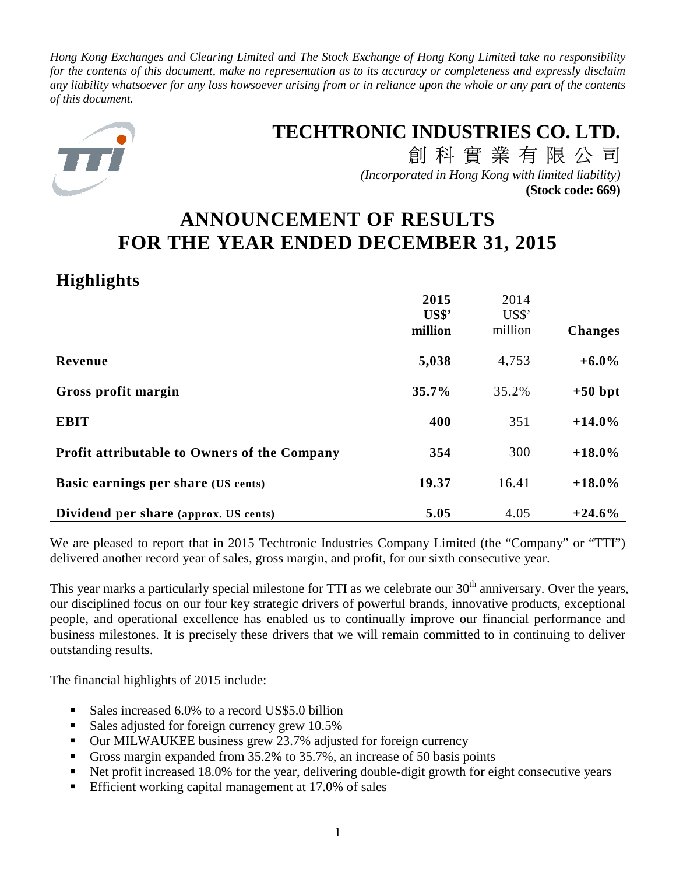*Hong Kong Exchanges and Clearing Limited and The Stock Exchange of Hong Kong Limited take no responsibility for the contents of this document, make no representation as to its accuracy or completeness and expressly disclaim any liability whatsoever for any loss howsoever arising from or in reliance upon the whole or any part of the contents of this document.* 



# **TECHTRONIC INDUSTRIES CO. LTD.**

創科實業有限公司 *(Incorporated in Hong Kong with limited liability)* **(Stock code: 669)**

# **ANNOUNCEMENT OF RESULTS FOR THE YEAR ENDED DECEMBER 31, 2015**

| <b>Highlights</b>                                   |                          |                          |                |
|-----------------------------------------------------|--------------------------|--------------------------|----------------|
|                                                     | 2015<br>US\$'<br>million | 2014<br>US\$'<br>million | <b>Changes</b> |
| Revenue                                             | 5,038                    | 4,753                    | $+6.0\%$       |
| Gross profit margin                                 | 35.7%                    | 35.2%                    | $+50$ bpt      |
| <b>EBIT</b>                                         | 400                      | 351                      | $+14.0%$       |
| <b>Profit attributable to Owners of the Company</b> | 354                      | 300                      | $+18.0\%$      |
| Basic earnings per share (US cents)                 | 19.37                    | 16.41                    | $+18.0\%$      |
| Dividend per share (approx. US cents)               | 5.05                     | 4.05                     | $+24.6%$       |

We are pleased to report that in 2015 Techtronic Industries Company Limited (the "Company" or "TTI") delivered another record year of sales, gross margin, and profit, for our sixth consecutive year.

This year marks a particularly special milestone for TTI as we celebrate our 30<sup>th</sup> anniversary. Over the years, our disciplined focus on our four key strategic drivers of powerful brands, innovative products, exceptional people, and operational excellence has enabled us to continually improve our financial performance and business milestones. It is precisely these drivers that we will remain committed to in continuing to deliver outstanding results.

The financial highlights of 2015 include:

- Sales increased 6.0% to a record US\$5.0 billion
- Sales adjusted for foreign currency grew 10.5%
- Our MILWAUKEE business grew 23.7% adjusted for foreign currency
- Gross margin expanded from 35.2% to 35.7%, an increase of 50 basis points
- Net profit increased 18.0% for the year, delivering double-digit growth for eight consecutive years
- **Efficient working capital management at 17.0% of sales**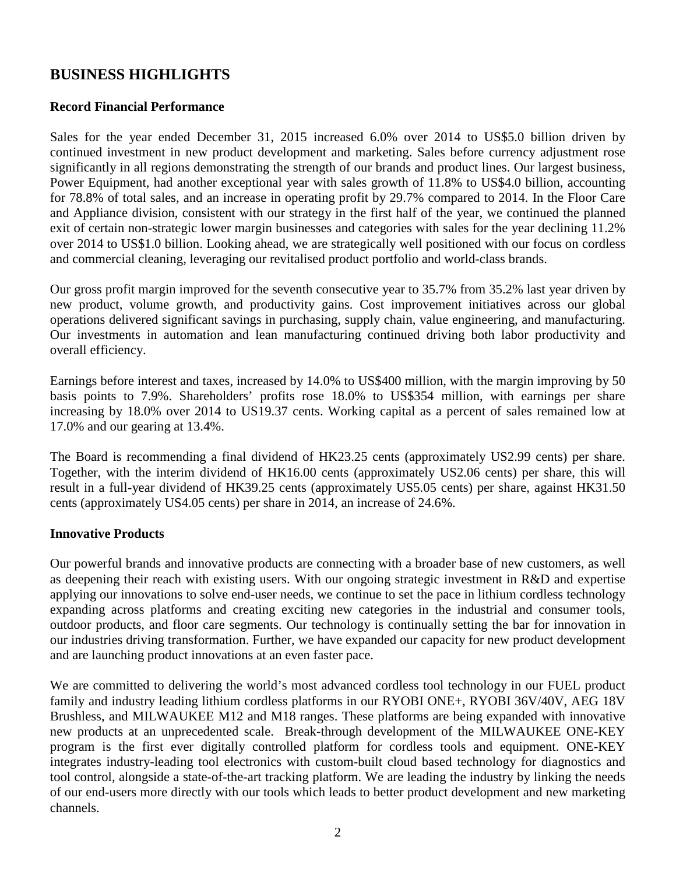## **BUSINESS HIGHLIGHTS**

### **Record Financial Performance**

Sales for the year ended December 31, 2015 increased 6.0% over 2014 to US\$5.0 billion driven by continued investment in new product development and marketing. Sales before currency adjustment rose significantly in all regions demonstrating the strength of our brands and product lines. Our largest business, Power Equipment, had another exceptional year with sales growth of 11.8% to US\$4.0 billion, accounting for 78.8% of total sales, and an increase in operating profit by 29.7% compared to 2014. In the Floor Care and Appliance division, consistent with our strategy in the first half of the year, we continued the planned exit of certain non-strategic lower margin businesses and categories with sales for the year declining 11.2% over 2014 to US\$1.0 billion. Looking ahead, we are strategically well positioned with our focus on cordless and commercial cleaning, leveraging our revitalised product portfolio and world-class brands.

Our gross profit margin improved for the seventh consecutive year to 35.7% from 35.2% last year driven by new product, volume growth, and productivity gains. Cost improvement initiatives across our global operations delivered significant savings in purchasing, supply chain, value engineering, and manufacturing. Our investments in automation and lean manufacturing continued driving both labor productivity and overall efficiency.

Earnings before interest and taxes, increased by 14.0% to US\$400 million, with the margin improving by 50 basis points to 7.9%. Shareholders' profits rose 18.0% to US\$354 million, with earnings per share increasing by 18.0% over 2014 to US19.37 cents. Working capital as a percent of sales remained low at 17.0% and our gearing at 13.4%.

The Board is recommending a final dividend of HK23.25 cents (approximately US2.99 cents) per share. Together, with the interim dividend of HK16.00 cents (approximately US2.06 cents) per share, this will result in a full-year dividend of HK39.25 cents (approximately US5.05 cents) per share, against HK31.50 cents (approximately US4.05 cents) per share in 2014, an increase of 24.6%.

#### **Innovative Products**

Our powerful brands and innovative products are connecting with a broader base of new customers, as well as deepening their reach with existing users. With our ongoing strategic investment in R&D and expertise applying our innovations to solve end-user needs, we continue to set the pace in lithium cordless technology expanding across platforms and creating exciting new categories in the industrial and consumer tools, outdoor products, and floor care segments. Our technology is continually setting the bar for innovation in our industries driving transformation. Further, we have expanded our capacity for new product development and are launching product innovations at an even faster pace.

We are committed to delivering the world's most advanced cordless tool technology in our FUEL product family and industry leading lithium cordless platforms in our RYOBI ONE+, RYOBI 36V/40V, AEG 18V Brushless, and MILWAUKEE M12 and M18 ranges. These platforms are being expanded with innovative new products at an unprecedented scale. Break-through development of the MILWAUKEE ONE-KEY program is the first ever digitally controlled platform for cordless tools and equipment. ONE-KEY integrates industry-leading tool electronics with custom-built cloud based technology for diagnostics and tool control, alongside a state-of-the-art tracking platform. We are leading the industry by linking the needs of our end-users more directly with our tools which leads to better product development and new marketing channels.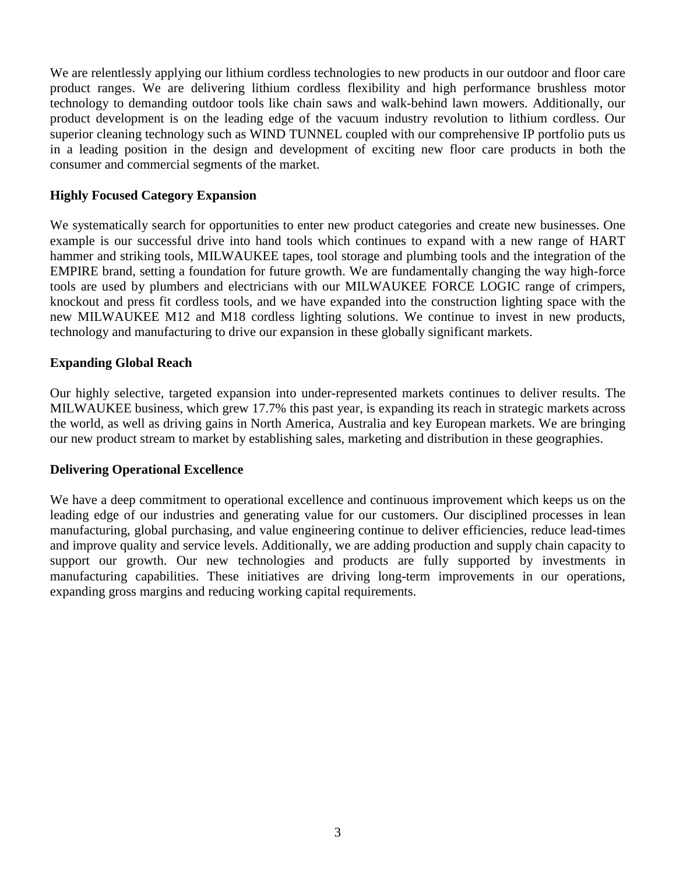We are relentlessly applying our lithium cordless technologies to new products in our outdoor and floor care product ranges. We are delivering lithium cordless flexibility and high performance brushless motor technology to demanding outdoor tools like chain saws and walk-behind lawn mowers. Additionally, our product development is on the leading edge of the vacuum industry revolution to lithium cordless. Our superior cleaning technology such as WIND TUNNEL coupled with our comprehensive IP portfolio puts us in a leading position in the design and development of exciting new floor care products in both the consumer and commercial segments of the market.

#### **Highly Focused Category Expansion**

We systematically search for opportunities to enter new product categories and create new businesses. One example is our successful drive into hand tools which continues to expand with a new range of HART hammer and striking tools, MILWAUKEE tapes, tool storage and plumbing tools and the integration of the EMPIRE brand, setting a foundation for future growth. We are fundamentally changing the way high-force tools are used by plumbers and electricians with our MILWAUKEE FORCE LOGIC range of crimpers, knockout and press fit cordless tools, and we have expanded into the construction lighting space with the new MILWAUKEE M12 and M18 cordless lighting solutions. We continue to invest in new products, technology and manufacturing to drive our expansion in these globally significant markets.

### **Expanding Global Reach**

Our highly selective, targeted expansion into under-represented markets continues to deliver results. The MILWAUKEE business, which grew 17.7% this past year, is expanding its reach in strategic markets across the world, as well as driving gains in North America, Australia and key European markets. We are bringing our new product stream to market by establishing sales, marketing and distribution in these geographies.

#### **Delivering Operational Excellence**

We have a deep commitment to operational excellence and continuous improvement which keeps us on the leading edge of our industries and generating value for our customers. Our disciplined processes in lean manufacturing, global purchasing, and value engineering continue to deliver efficiencies, reduce lead-times and improve quality and service levels. Additionally, we are adding production and supply chain capacity to support our growth. Our new technologies and products are fully supported by investments in manufacturing capabilities. These initiatives are driving long-term improvements in our operations, expanding gross margins and reducing working capital requirements.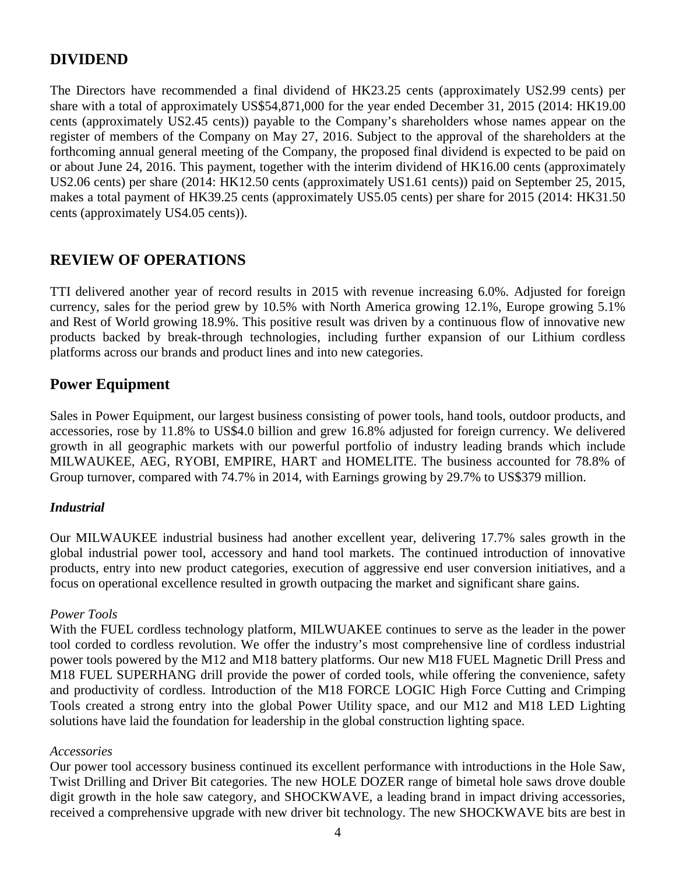## **DIVIDEND**

The Directors have recommended a final dividend of HK23.25 cents (approximately US2.99 cents) per share with a total of approximately US\$54,871,000 for the year ended December 31, 2015 (2014: HK19.00 cents (approximately US2.45 cents)) payable to the Company's shareholders whose names appear on the register of members of the Company on May 27, 2016. Subject to the approval of the shareholders at the forthcoming annual general meeting of the Company, the proposed final dividend is expected to be paid on or about June 24, 2016. This payment, together with the interim dividend of HK16.00 cents (approximately US2.06 cents) per share (2014: HK12.50 cents (approximately US1.61 cents)) paid on September 25, 2015, makes a total payment of HK39.25 cents (approximately US5.05 cents) per share for 2015 (2014: HK31.50 cents (approximately US4.05 cents)).

## **REVIEW OF OPERATIONS**

TTI delivered another year of record results in 2015 with revenue increasing 6.0%. Adjusted for foreign currency, sales for the period grew by 10.5% with North America growing 12.1%, Europe growing 5.1% and Rest of World growing 18.9%. This positive result was driven by a continuous flow of innovative new products backed by break-through technologies, including further expansion of our Lithium cordless platforms across our brands and product lines and into new categories.

## **Power Equipment**

Sales in Power Equipment, our largest business consisting of power tools, hand tools, outdoor products, and accessories, rose by 11.8% to US\$4.0 billion and grew 16.8% adjusted for foreign currency. We delivered growth in all geographic markets with our powerful portfolio of industry leading brands which include MILWAUKEE, AEG, RYOBI, EMPIRE, HART and HOMELITE. The business accounted for 78.8% of Group turnover, compared with 74.7% in 2014, with Earnings growing by 29.7% to US\$379 million.

## *Industrial*

Our MILWAUKEE industrial business had another excellent year, delivering 17.7% sales growth in the global industrial power tool, accessory and hand tool markets. The continued introduction of innovative products, entry into new product categories, execution of aggressive end user conversion initiatives, and a focus on operational excellence resulted in growth outpacing the market and significant share gains.

## *Power Tools*

With the FUEL cordless technology platform, MILWUAKEE continues to serve as the leader in the power tool corded to cordless revolution. We offer the industry's most comprehensive line of cordless industrial power tools powered by the M12 and M18 battery platforms. Our new M18 FUEL Magnetic Drill Press and M18 FUEL SUPERHANG drill provide the power of corded tools, while offering the convenience, safety and productivity of cordless. Introduction of the M18 FORCE LOGIC High Force Cutting and Crimping Tools created a strong entry into the global Power Utility space, and our M12 and M18 LED Lighting solutions have laid the foundation for leadership in the global construction lighting space.

#### *Accessories*

Our power tool accessory business continued its excellent performance with introductions in the Hole Saw, Twist Drilling and Driver Bit categories. The new HOLE DOZER range of bimetal hole saws drove double digit growth in the hole saw category, and SHOCKWAVE, a leading brand in impact driving accessories, received a comprehensive upgrade with new driver bit technology. The new SHOCKWAVE bits are best in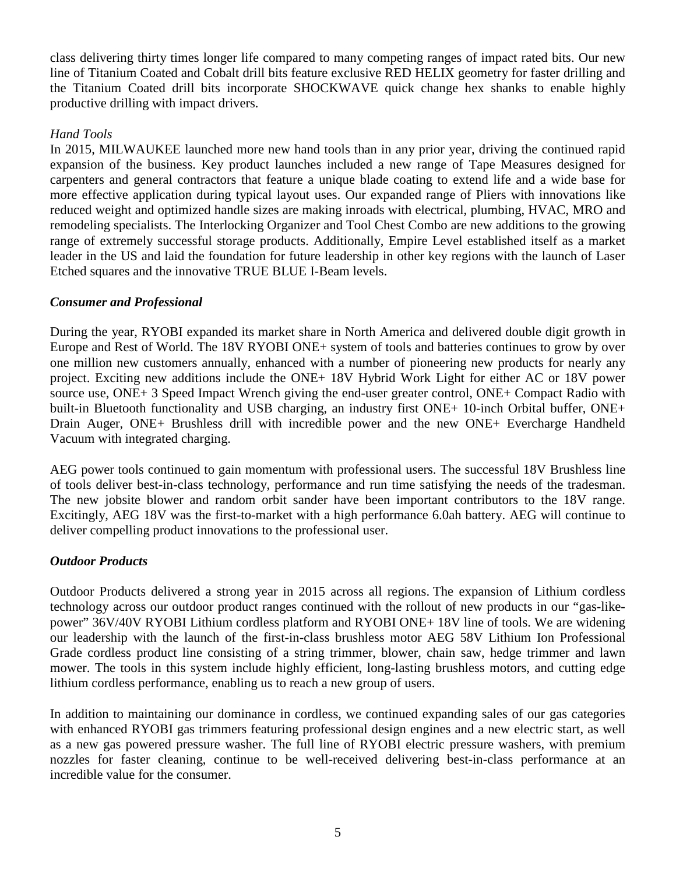class delivering thirty times longer life compared to many competing ranges of impact rated bits. Our new line of Titanium Coated and Cobalt drill bits feature exclusive RED HELIX geometry for faster drilling and the Titanium Coated drill bits incorporate SHOCKWAVE quick change hex shanks to enable highly productive drilling with impact drivers.

## *Hand Tools*

In 2015, MILWAUKEE launched more new hand tools than in any prior year, driving the continued rapid expansion of the business. Key product launches included a new range of Tape Measures designed for carpenters and general contractors that feature a unique blade coating to extend life and a wide base for more effective application during typical layout uses. Our expanded range of Pliers with innovations like reduced weight and optimized handle sizes are making inroads with electrical, plumbing, HVAC, MRO and remodeling specialists. The Interlocking Organizer and Tool Chest Combo are new additions to the growing range of extremely successful storage products. Additionally, Empire Level established itself as a market leader in the US and laid the foundation for future leadership in other key regions with the launch of Laser Etched squares and the innovative TRUE BLUE I-Beam levels.

## *Consumer and Professional*

During the year, RYOBI expanded its market share in North America and delivered double digit growth in Europe and Rest of World. The 18V RYOBI ONE+ system of tools and batteries continues to grow by over one million new customers annually, enhanced with a number of pioneering new products for nearly any project. Exciting new additions include the ONE+ 18V Hybrid Work Light for either AC or 18V power source use, ONE+ 3 Speed Impact Wrench giving the end-user greater control, ONE+ Compact Radio with built-in Bluetooth functionality and USB charging, an industry first ONE+ 10-inch Orbital buffer, ONE+ Drain Auger, ONE+ Brushless drill with incredible power and the new ONE+ Evercharge Handheld Vacuum with integrated charging.

AEG power tools continued to gain momentum with professional users. The successful 18V Brushless line of tools deliver best-in-class technology, performance and run time satisfying the needs of the tradesman. The new jobsite blower and random orbit sander have been important contributors to the 18V range. Excitingly, AEG 18V was the first-to-market with a high performance 6.0ah battery. AEG will continue to deliver compelling product innovations to the professional user.

## *Outdoor Products*

Outdoor Products delivered a strong year in 2015 across all regions. The expansion of Lithium cordless technology across our outdoor product ranges continued with the rollout of new products in our "gas-likepower" 36V/40V RYOBI Lithium cordless platform and RYOBI ONE+ 18V line of tools. We are widening our leadership with the launch of the first-in-class brushless motor AEG 58V Lithium Ion Professional Grade cordless product line consisting of a string trimmer, blower, chain saw, hedge trimmer and lawn mower. The tools in this system include highly efficient, long-lasting brushless motors, and cutting edge lithium cordless performance, enabling us to reach a new group of users.

In addition to maintaining our dominance in cordless, we continued expanding sales of our gas categories with enhanced RYOBI gas trimmers featuring professional design engines and a new electric start, as well as a new gas powered pressure washer. The full line of RYOBI electric pressure washers, with premium nozzles for faster cleaning, continue to be well-received delivering best-in-class performance at an incredible value for the consumer.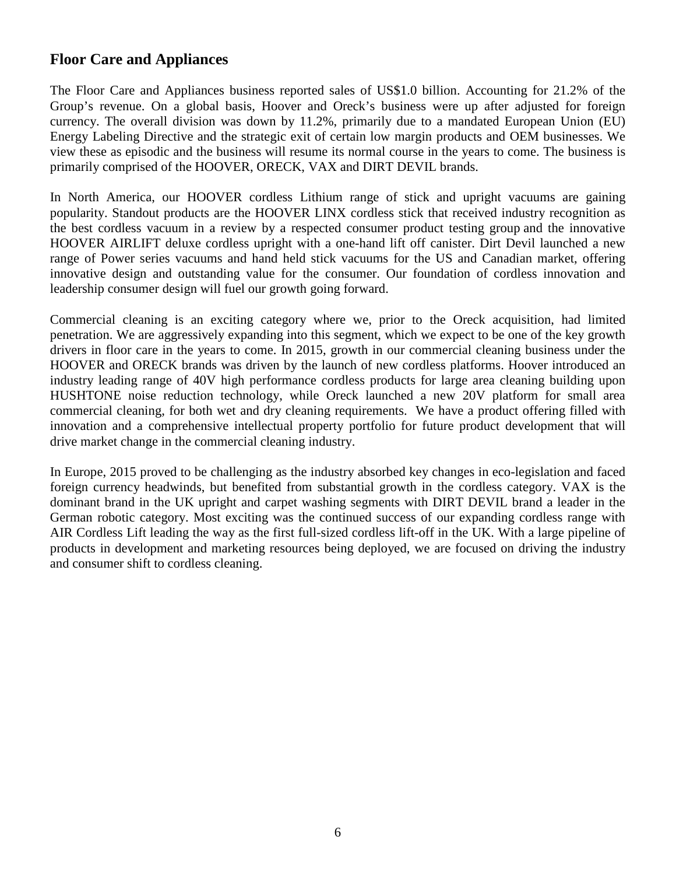## **Floor Care and Appliances**

The Floor Care and Appliances business reported sales of US\$1.0 billion. Accounting for 21.2% of the Group's revenue. On a global basis, Hoover and Oreck's business were up after adjusted for foreign currency. The overall division was down by 11.2%, primarily due to a mandated European Union (EU) Energy Labeling Directive and the strategic exit of certain low margin products and OEM businesses. We view these as episodic and the business will resume its normal course in the years to come. The business is primarily comprised of the HOOVER, ORECK, VAX and DIRT DEVIL brands.

In North America, our HOOVER cordless Lithium range of stick and upright vacuums are gaining popularity. Standout products are the HOOVER LINX cordless stick that received industry recognition as the best cordless vacuum in a review by a respected consumer product testing group and the innovative HOOVER AIRLIFT deluxe cordless upright with a one-hand lift off canister. Dirt Devil launched a new range of Power series vacuums and hand held stick vacuums for the US and Canadian market, offering innovative design and outstanding value for the consumer. Our foundation of cordless innovation and leadership consumer design will fuel our growth going forward.

Commercial cleaning is an exciting category where we, prior to the Oreck acquisition, had limited penetration. We are aggressively expanding into this segment, which we expect to be one of the key growth drivers in floor care in the years to come. In 2015, growth in our commercial cleaning business under the HOOVER and ORECK brands was driven by the launch of new cordless platforms. Hoover introduced an industry leading range of 40V high performance cordless products for large area cleaning building upon HUSHTONE noise reduction technology, while Oreck launched a new 20V platform for small area commercial cleaning, for both wet and dry cleaning requirements. We have a product offering filled with innovation and a comprehensive intellectual property portfolio for future product development that will drive market change in the commercial cleaning industry.

In Europe, 2015 proved to be challenging as the industry absorbed key changes in eco-legislation and faced foreign currency headwinds, but benefited from substantial growth in the cordless category. VAX is the dominant brand in the UK upright and carpet washing segments with DIRT DEVIL brand a leader in the German robotic category. Most exciting was the continued success of our expanding cordless range with AIR Cordless Lift leading the way as the first full-sized cordless lift-off in the UK. With a large pipeline of products in development and marketing resources being deployed, we are focused on driving the industry and consumer shift to cordless cleaning.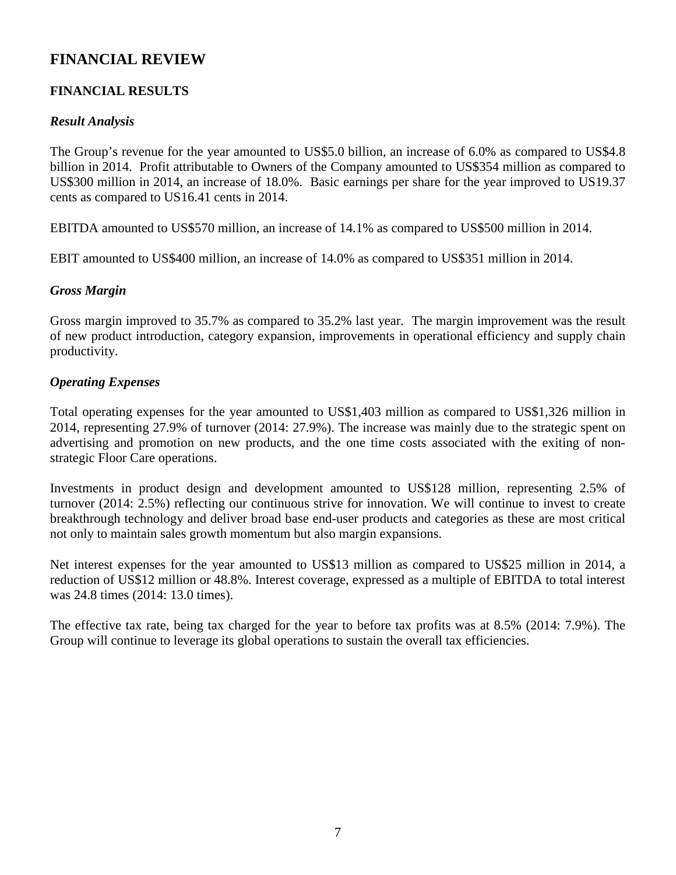## **FINANCIAL REVIEW**

## **FINANCIAL RESULTS**

## *Result Analysis*

The Group's revenue for the year amounted to US\$5.0 billion, an increase of 6.0% as compared to US\$4.8 billion in 2014. Profit attributable to Owners of the Company amounted to US\$354 million as compared to US\$300 million in 2014, an increase of 18.0%. Basic earnings per share for the year improved to US19.37 cents as compared to US16.41 cents in 2014.

EBITDA amounted to US\$570 million, an increase of 14.1% as compared to US\$500 million in 2014.

EBIT amounted to US\$400 million, an increase of 14.0% as compared to US\$351 million in 2014.

## *Gross Margin*

Gross margin improved to 35.7% as compared to 35.2% last year. The margin improvement was the result of new product introduction, category expansion, improvements in operational efficiency and supply chain productivity.

## *Operating Expenses*

Total operating expenses for the year amounted to US\$1,403 million as compared to US\$1,326 million in 2014, representing 27.9% of turnover (2014: 27.9%). The increase was mainly due to the strategic spent on advertising and promotion on new products, and the one time costs associated with the exiting of nonstrategic Floor Care operations.

Investments in product design and development amounted to US\$128 million, representing 2.5% of turnover (2014: 2.5%) reflecting our continuous strive for innovation. We will continue to invest to create breakthrough technology and deliver broad base end-user products and categories as these are most critical not only to maintain sales growth momentum but also margin expansions.

Net interest expenses for the year amounted to US\$13 million as compared to US\$25 million in 2014, a reduction of US\$12 million or 48.8%. Interest coverage, expressed as a multiple of EBITDA to total interest was 24.8 times (2014: 13.0 times).

The effective tax rate, being tax charged for the year to before tax profits was at 8.5% (2014: 7.9%). The Group will continue to leverage its global operations to sustain the overall tax efficiencies.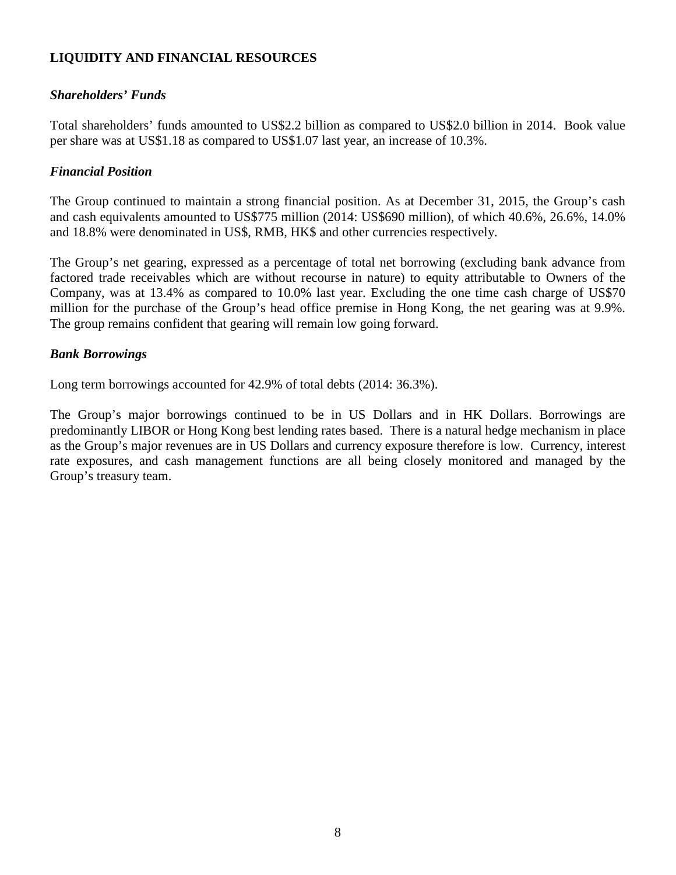## **LIQUIDITY AND FINANCIAL RESOURCES**

## *Shareholders' Funds*

Total shareholders' funds amounted to US\$2.2 billion as compared to US\$2.0 billion in 2014. Book value per share was at US\$1.18 as compared to US\$1.07 last year, an increase of 10.3%.

## *Financial Position*

The Group continued to maintain a strong financial position. As at December 31, 2015, the Group's cash and cash equivalents amounted to US\$775 million (2014: US\$690 million), of which 40.6%, 26.6%, 14.0% and 18.8% were denominated in US\$, RMB, HK\$ and other currencies respectively.

The Group's net gearing, expressed as a percentage of total net borrowing (excluding bank advance from factored trade receivables which are without recourse in nature) to equity attributable to Owners of the Company, was at 13.4% as compared to 10.0% last year. Excluding the one time cash charge of US\$70 million for the purchase of the Group's head office premise in Hong Kong, the net gearing was at 9.9%. The group remains confident that gearing will remain low going forward.

## *Bank Borrowings*

Long term borrowings accounted for 42.9% of total debts (2014: 36.3%).

The Group's major borrowings continued to be in US Dollars and in HK Dollars. Borrowings are predominantly LIBOR or Hong Kong best lending rates based. There is a natural hedge mechanism in place as the Group's major revenues are in US Dollars and currency exposure therefore is low. Currency, interest rate exposures, and cash management functions are all being closely monitored and managed by the Group's treasury team.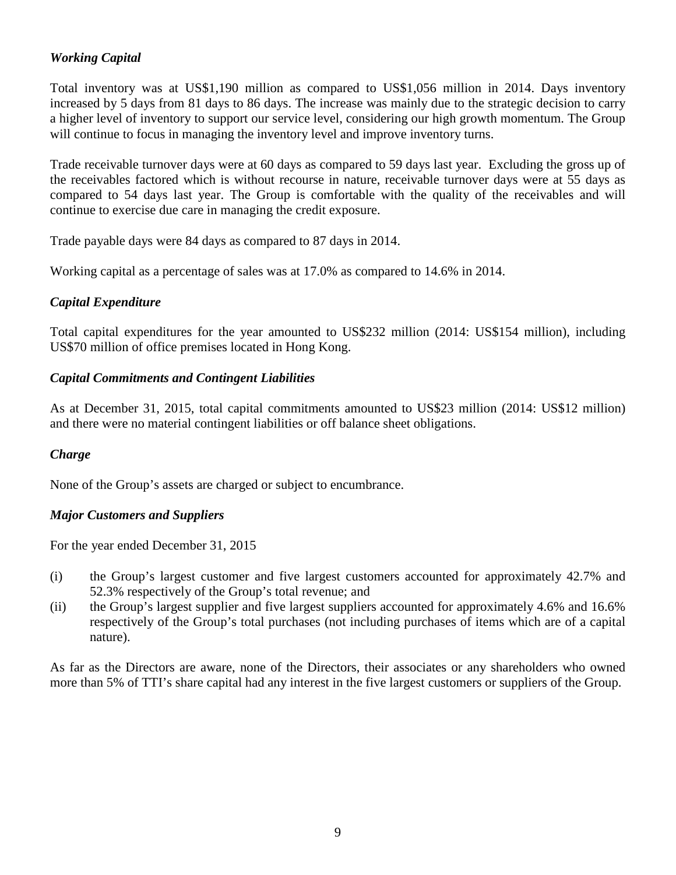## *Working Capital*

Total inventory was at US\$1,190 million as compared to US\$1,056 million in 2014. Days inventory increased by 5 days from 81 days to 86 days. The increase was mainly due to the strategic decision to carry a higher level of inventory to support our service level, considering our high growth momentum. The Group will continue to focus in managing the inventory level and improve inventory turns.

Trade receivable turnover days were at 60 days as compared to 59 days last year. Excluding the gross up of the receivables factored which is without recourse in nature, receivable turnover days were at 55 days as compared to 54 days last year. The Group is comfortable with the quality of the receivables and will continue to exercise due care in managing the credit exposure.

Trade payable days were 84 days as compared to 87 days in 2014.

Working capital as a percentage of sales was at 17.0% as compared to 14.6% in 2014.

## *Capital Expenditure*

Total capital expenditures for the year amounted to US\$232 million (2014: US\$154 million), including US\$70 million of office premises located in Hong Kong.

## *Capital Commitments and Contingent Liabilities*

As at December 31, 2015, total capital commitments amounted to US\$23 million (2014: US\$12 million) and there were no material contingent liabilities or off balance sheet obligations.

## *Charge*

None of the Group's assets are charged or subject to encumbrance.

## *Major Customers and Suppliers*

For the year ended December 31, 2015

- (i) the Group's largest customer and five largest customers accounted for approximately 42.7% and 52.3% respectively of the Group's total revenue; and
- (ii) the Group's largest supplier and five largest suppliers accounted for approximately 4.6% and 16.6% respectively of the Group's total purchases (not including purchases of items which are of a capital nature).

As far as the Directors are aware, none of the Directors, their associates or any shareholders who owned more than 5% of TTI's share capital had any interest in the five largest customers or suppliers of the Group.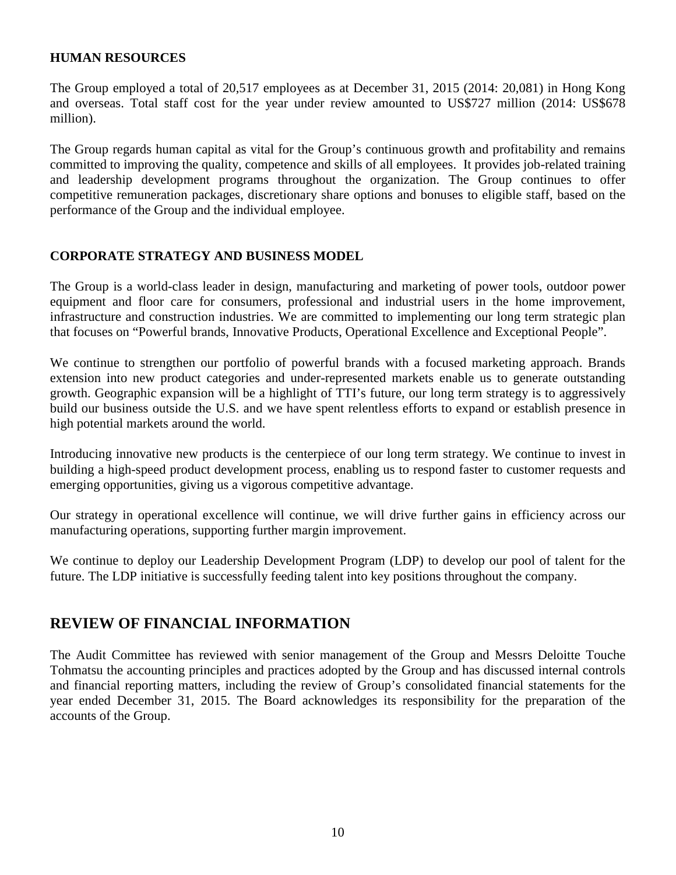#### **HUMAN RESOURCES**

The Group employed a total of 20,517 employees as at December 31, 2015 (2014: 20,081) in Hong Kong and overseas. Total staff cost for the year under review amounted to US\$727 million (2014: US\$678 million).

The Group regards human capital as vital for the Group's continuous growth and profitability and remains committed to improving the quality, competence and skills of all employees. It provides job-related training and leadership development programs throughout the organization. The Group continues to offer competitive remuneration packages, discretionary share options and bonuses to eligible staff, based on the performance of the Group and the individual employee.

### **CORPORATE STRATEGY AND BUSINESS MODEL**

The Group is a world-class leader in design, manufacturing and marketing of power tools, outdoor power equipment and floor care for consumers, professional and industrial users in the home improvement, infrastructure and construction industries. We are committed to implementing our long term strategic plan that focuses on "Powerful brands, Innovative Products, Operational Excellence and Exceptional People".

We continue to strengthen our portfolio of powerful brands with a focused marketing approach. Brands extension into new product categories and under-represented markets enable us to generate outstanding growth. Geographic expansion will be a highlight of TTI's future, our long term strategy is to aggressively build our business outside the U.S. and we have spent relentless efforts to expand or establish presence in high potential markets around the world.

Introducing innovative new products is the centerpiece of our long term strategy. We continue to invest in building a high-speed product development process, enabling us to respond faster to customer requests and emerging opportunities, giving us a vigorous competitive advantage.

Our strategy in operational excellence will continue, we will drive further gains in efficiency across our manufacturing operations, supporting further margin improvement.

We continue to deploy our Leadership Development Program (LDP) to develop our pool of talent for the future. The LDP initiative is successfully feeding talent into key positions throughout the company.

## **REVIEW OF FINANCIAL INFORMATION**

The Audit Committee has reviewed with senior management of the Group and Messrs Deloitte Touche Tohmatsu the accounting principles and practices adopted by the Group and has discussed internal controls and financial reporting matters, including the review of Group's consolidated financial statements for the year ended December 31, 2015. The Board acknowledges its responsibility for the preparation of the accounts of the Group.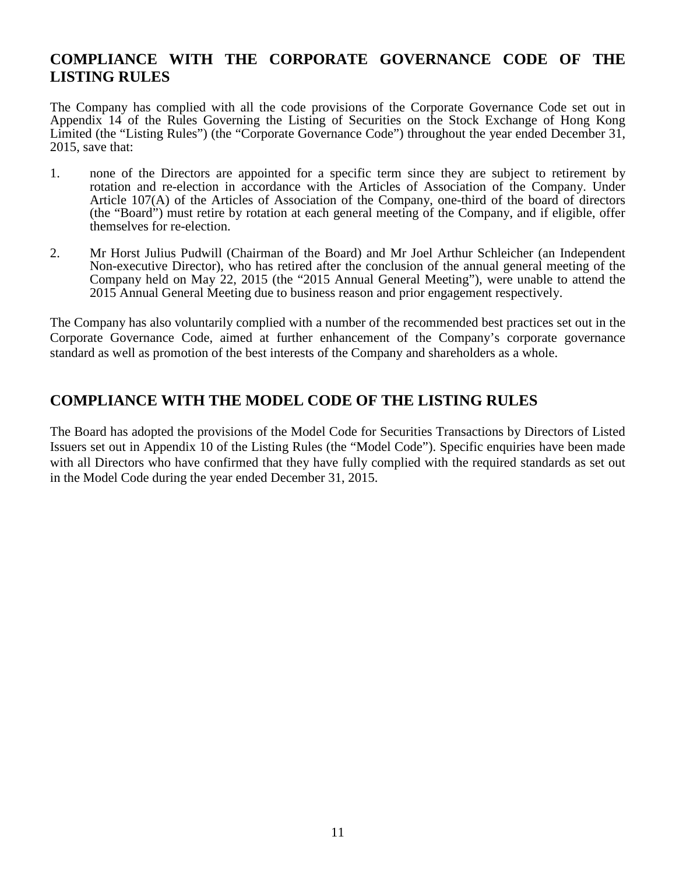## **COMPLIANCE WITH THE CORPORATE GOVERNANCE CODE OF THE LISTING RULES**

The Company has complied with all the code provisions of the Corporate Governance Code set out in Appendix 14 of the Rules Governing the Listing of Securities on the Stock Exchange of Hong Kong Limited (the "Listing Rules") (the "Corporate Governance Code") throughout the year ended December 31, 2015, save that:

- 1. none of the Directors are appointed for a specific term since they are subject to retirement by rotation and re-election in accordance with the Articles of Association of the Company. Under Article 107(A) of the Articles of Association of the Company, one-third of the board of directors (the "Board") must retire by rotation at each general meeting of the Company, and if eligible, offer themselves for re-election.
- 2. Mr Horst Julius Pudwill (Chairman of the Board) and Mr Joel Arthur Schleicher (an Independent Non-executive Director), who has retired after the conclusion of the annual general meeting of the Company held on May 22, 2015 (the "2015 Annual General Meeting"), were unable to attend the 2015 Annual General Meeting due to business reason and prior engagement respectively.

The Company has also voluntarily complied with a number of the recommended best practices set out in the Corporate Governance Code, aimed at further enhancement of the Company's corporate governance standard as well as promotion of the best interests of the Company and shareholders as a whole.

## **COMPLIANCE WITH THE MODEL CODE OF THE LISTING RULES**

The Board has adopted the provisions of the Model Code for Securities Transactions by Directors of Listed Issuers set out in Appendix 10 of the Listing Rules (the "Model Code"). Specific enquiries have been made with all Directors who have confirmed that they have fully complied with the required standards as set out in the Model Code during the year ended December 31, 2015.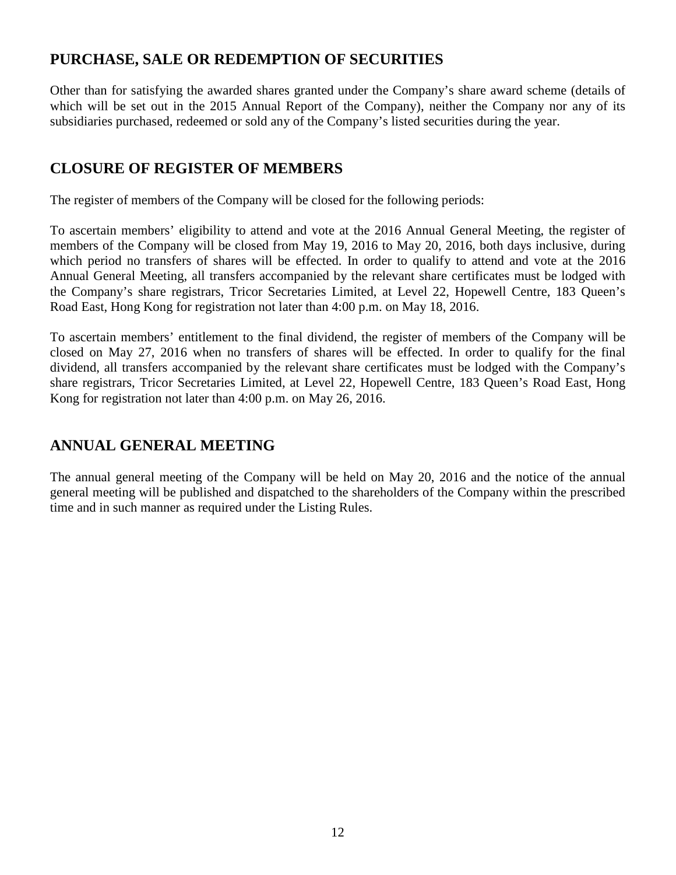## **PURCHASE, SALE OR REDEMPTION OF SECURITIES**

Other than for satisfying the awarded shares granted under the Company's share award scheme (details of which will be set out in the 2015 Annual Report of the Company), neither the Company nor any of its subsidiaries purchased, redeemed or sold any of the Company's listed securities during the year.

## **CLOSURE OF REGISTER OF MEMBERS**

The register of members of the Company will be closed for the following periods:

To ascertain members' eligibility to attend and vote at the 2016 Annual General Meeting, the register of members of the Company will be closed from May 19, 2016 to May 20, 2016, both days inclusive, during which period no transfers of shares will be effected. In order to qualify to attend and vote at the 2016 Annual General Meeting, all transfers accompanied by the relevant share certificates must be lodged with the Company's share registrars, Tricor Secretaries Limited, at Level 22, Hopewell Centre, 183 Queen's Road East, Hong Kong for registration not later than 4:00 p.m. on May 18, 2016.

To ascertain members' entitlement to the final dividend, the register of members of the Company will be closed on May 27, 2016 when no transfers of shares will be effected. In order to qualify for the final dividend, all transfers accompanied by the relevant share certificates must be lodged with the Company's share registrars, Tricor Secretaries Limited, at Level 22, Hopewell Centre, 183 Queen's Road East, Hong Kong for registration not later than 4:00 p.m. on May 26, 2016.

## **ANNUAL GENERAL MEETING**

The annual general meeting of the Company will be held on May 20, 2016 and the notice of the annual general meeting will be published and dispatched to the shareholders of the Company within the prescribed time and in such manner as required under the Listing Rules.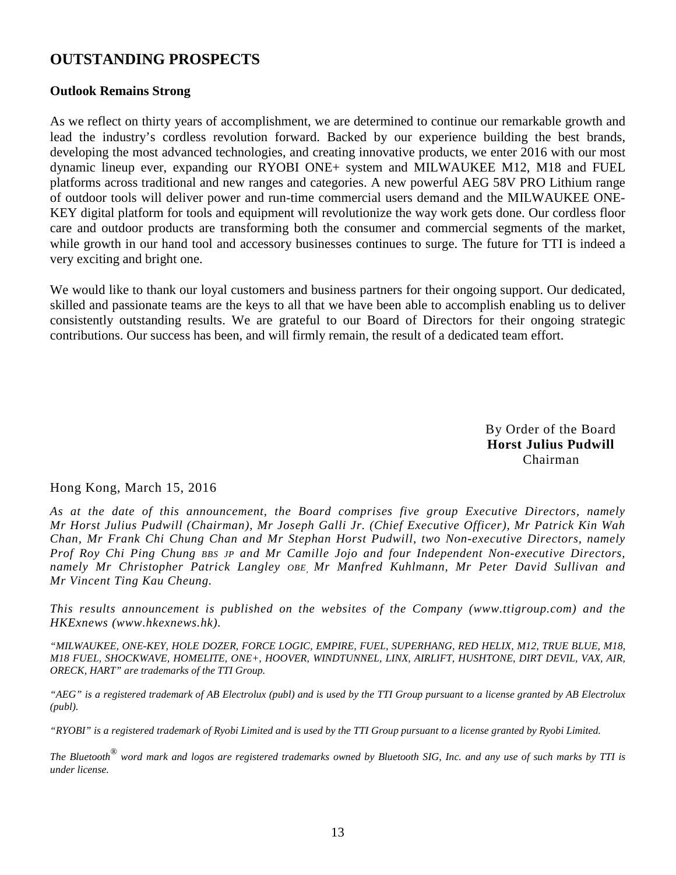## **OUTSTANDING PROSPECTS**

### **Outlook Remains Strong**

As we reflect on thirty years of accomplishment, we are determined to continue our remarkable growth and lead the industry's cordless revolution forward. Backed by our experience building the best brands, developing the most advanced technologies, and creating innovative products, we enter 2016 with our most dynamic lineup ever, expanding our RYOBI ONE+ system and MILWAUKEE M12, M18 and FUEL platforms across traditional and new ranges and categories. A new powerful AEG 58V PRO Lithium range of outdoor tools will deliver power and run-time commercial users demand and the MILWAUKEE ONE-KEY digital platform for tools and equipment will revolutionize the way work gets done. Our cordless floor care and outdoor products are transforming both the consumer and commercial segments of the market, while growth in our hand tool and accessory businesses continues to surge. The future for TTI is indeed a very exciting and bright one.

We would like to thank our loyal customers and business partners for their ongoing support. Our dedicated, skilled and passionate teams are the keys to all that we have been able to accomplish enabling us to deliver consistently outstanding results. We are grateful to our Board of Directors for their ongoing strategic contributions. Our success has been, and will firmly remain, the result of a dedicated team effort.

> By Order of the Board **Horst Julius Pudwill**  Chairman

Hong Kong, March 15, 2016

*As at the date of this announcement, the Board comprises five group Executive Directors, namely Mr Horst Julius Pudwill (Chairman), Mr Joseph Galli Jr. (Chief Executive Officer), Mr Patrick Kin Wah Chan, Mr Frank Chi Chung Chan and Mr Stephan Horst Pudwill, two Non-executive Directors, namely Prof Roy Chi Ping Chung BBS JP and Mr Camille Jojo and four Independent Non-executive Directors, namely Mr Christopher Patrick Langley OBE, Mr Manfred Kuhlmann, Mr Peter David Sullivan and Mr Vincent Ting Kau Cheung.*

*This results announcement is published on the websites of the Company (www.ttigroup.com) and the HKExnews (www.hkexnews.hk).* 

*"MILWAUKEE, ONE-KEY, HOLE DOZER, FORCE LOGIC, EMPIRE, FUEL, SUPERHANG, RED HELIX, M12, TRUE BLUE, M18, M18 FUEL, SHOCKWAVE, HOMELITE, ONE+, HOOVER, WINDTUNNEL, LINX, AIRLIFT, HUSHTONE, DIRT DEVIL, VAX, AIR, ORECK, HART" are trademarks of the TTI Group.* 

*"AEG" is a registered trademark of AB Electrolux (publ) and is used by the TTI Group pursuant to a license granted by AB Electrolux (publ).* 

*"RYOBI" is a registered trademark of Ryobi Limited and is used by the TTI Group pursuant to a license granted by Ryobi Limited.* 

*The Bluetooth*®  *word mark and logos are registered trademarks owned by Bluetooth SIG, Inc. and any use of such marks by TTI is under license.*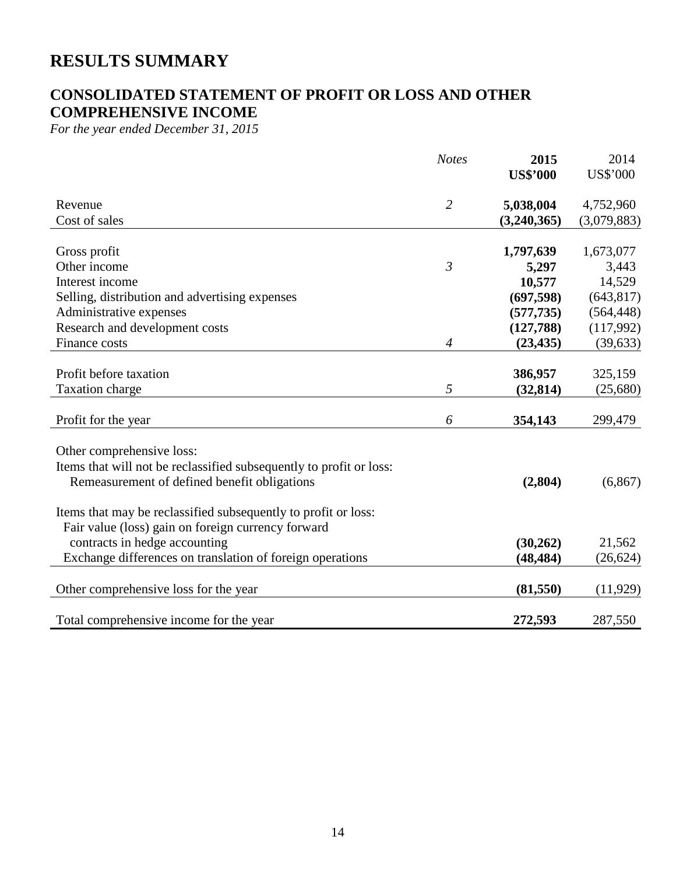# **RESULTS SUMMARY**

## **CONSOLIDATED STATEMENT OF PROFIT OR LOSS AND OTHER COMPREHENSIVE INCOME**

*For the year ended December 31, 2015* 

| <b>Notes</b>   | 2015                | 2014                                                                                                                  |
|----------------|---------------------|-----------------------------------------------------------------------------------------------------------------------|
|                | <b>US\$'000</b>     | US\$'000                                                                                                              |
| $\overline{2}$ | 5,038,004           | 4,752,960                                                                                                             |
|                | (3,240,365)         | (3,079,883)                                                                                                           |
|                |                     | 1,673,077                                                                                                             |
|                |                     | 3,443                                                                                                                 |
|                |                     | 14,529                                                                                                                |
|                |                     | (643, 817)                                                                                                            |
|                |                     | (564, 448)                                                                                                            |
|                |                     | (117,992)                                                                                                             |
| $\overline{4}$ | (23, 435)           | (39, 633)                                                                                                             |
|                |                     |                                                                                                                       |
|                | 386,957             | 325,159                                                                                                               |
| 5              | (32, 814)           | (25,680)                                                                                                              |
|                |                     |                                                                                                                       |
|                |                     | 299,479                                                                                                               |
|                |                     |                                                                                                                       |
|                |                     |                                                                                                                       |
|                | (2,804)             | (6, 867)                                                                                                              |
|                |                     |                                                                                                                       |
|                |                     |                                                                                                                       |
|                |                     | 21,562                                                                                                                |
|                |                     | (26, 624)                                                                                                             |
|                |                     |                                                                                                                       |
|                | (81,550)            | (11, 929)                                                                                                             |
|                |                     | 287,550                                                                                                               |
|                | $\mathfrak{Z}$<br>6 | 1,797,639<br>5,297<br>10,577<br>(697, 598)<br>(577, 735)<br>(127,788)<br>354,143<br>(30, 262)<br>(48, 484)<br>272,593 |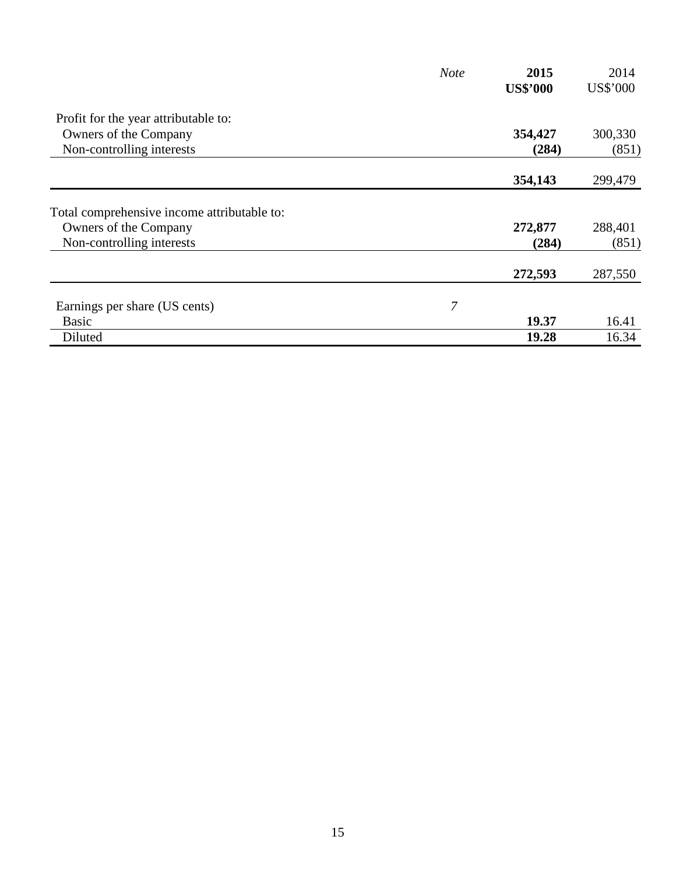|                                             | <b>Note</b> | 2015            | 2014     |
|---------------------------------------------|-------------|-----------------|----------|
|                                             |             | <b>US\$'000</b> | US\$'000 |
| Profit for the year attributable to:        |             |                 |          |
| Owners of the Company                       |             | 354,427         | 300,330  |
| Non-controlling interests                   |             | (284)           | (851)    |
|                                             |             | 354,143         | 299,479  |
| Total comprehensive income attributable to: |             |                 |          |
| Owners of the Company                       |             | 272,877         | 288,401  |
| Non-controlling interests                   |             | (284)           | (851)    |
|                                             |             | 272,593         | 287,550  |
| Earnings per share (US cents)               | 7           |                 |          |
| <b>Basic</b>                                |             | 19.37           | 16.41    |
| Diluted                                     |             | 19.28           | 16.34    |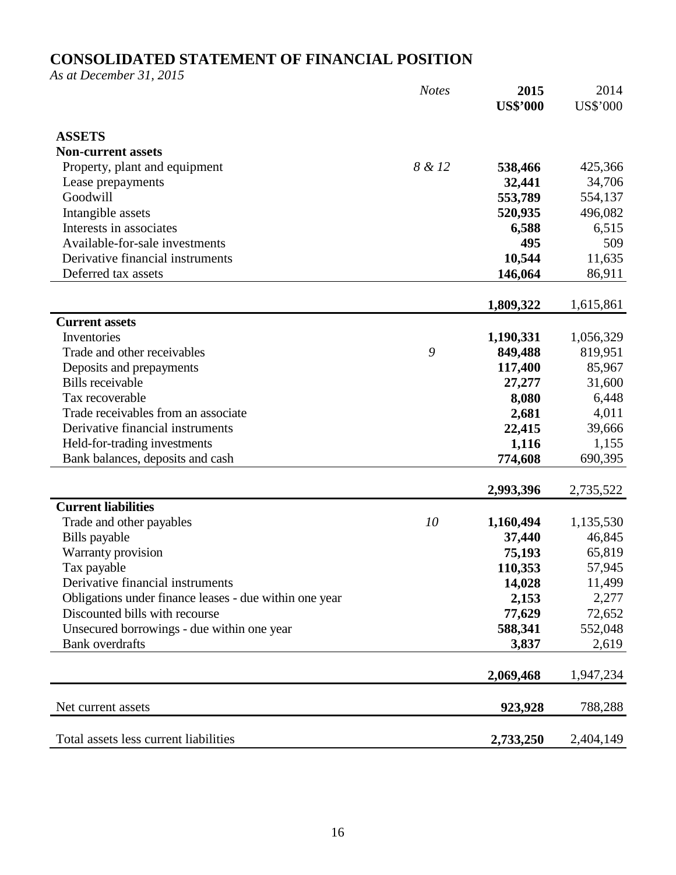## **CONSOLIDATED STATEMENT OF FINANCIAL POSITION**

*As at December 31, 2015* 

|                                                        | <b>Notes</b> | 2015            | 2014            |
|--------------------------------------------------------|--------------|-----------------|-----------------|
|                                                        |              | <b>US\$'000</b> | <b>US\$'000</b> |
| <b>ASSETS</b>                                          |              |                 |                 |
| <b>Non-current assets</b>                              |              |                 |                 |
| Property, plant and equipment                          | 8 & 12       | 538,466         | 425,366         |
| Lease prepayments                                      |              | 32,441          | 34,706          |
| Goodwill                                               |              | 553,789         | 554,137         |
| Intangible assets                                      |              | 520,935         | 496,082         |
| Interests in associates                                |              | 6,588           | 6,515           |
| Available-for-sale investments                         |              | 495             | 509             |
| Derivative financial instruments                       |              | 10,544          | 11,635          |
| Deferred tax assets                                    |              | 146,064         | 86,911          |
|                                                        |              |                 |                 |
|                                                        |              | 1,809,322       | 1,615,861       |
| <b>Current assets</b>                                  |              |                 |                 |
| Inventories                                            |              | 1,190,331       | 1,056,329       |
| Trade and other receivables                            | 9            | 849,488         | 819,951         |
| Deposits and prepayments                               |              | 117,400         | 85,967          |
| <b>Bills</b> receivable                                |              | 27,277          | 31,600          |
| Tax recoverable                                        |              | 8,080           | 6,448           |
| Trade receivables from an associate                    |              | 2,681           | 4,011           |
| Derivative financial instruments                       |              | 22,415          | 39,666          |
| Held-for-trading investments                           |              | 1,116           | 1,155           |
| Bank balances, deposits and cash                       |              | 774,608         | 690,395         |
|                                                        |              |                 |                 |
|                                                        |              | 2,993,396       | 2,735,522       |
| <b>Current liabilities</b>                             |              |                 |                 |
| Trade and other payables                               | 10           | 1,160,494       | 1,135,530       |
| Bills payable                                          |              | 37,440          | 46,845          |
| Warranty provision                                     |              | 75,193          | 65,819          |
| Tax payable                                            |              | 110,353         | 57,945          |
| Derivative financial instruments                       |              | 14,028          | 11,499          |
| Obligations under finance leases - due within one year |              | 2,153           | 2,277           |
| Discounted bills with recourse                         |              | 77,629          | 72,652          |
| Unsecured borrowings - due within one year             |              | 588,341         | 552,048         |
| <b>Bank</b> overdrafts                                 |              | 3,837           | 2,619           |
|                                                        |              | 2,069,468       | 1,947,234       |
|                                                        |              |                 |                 |
| Net current assets                                     |              | 923,928         | 788,288         |
| Total assets less current liabilities                  |              | 2,733,250       | 2,404,149       |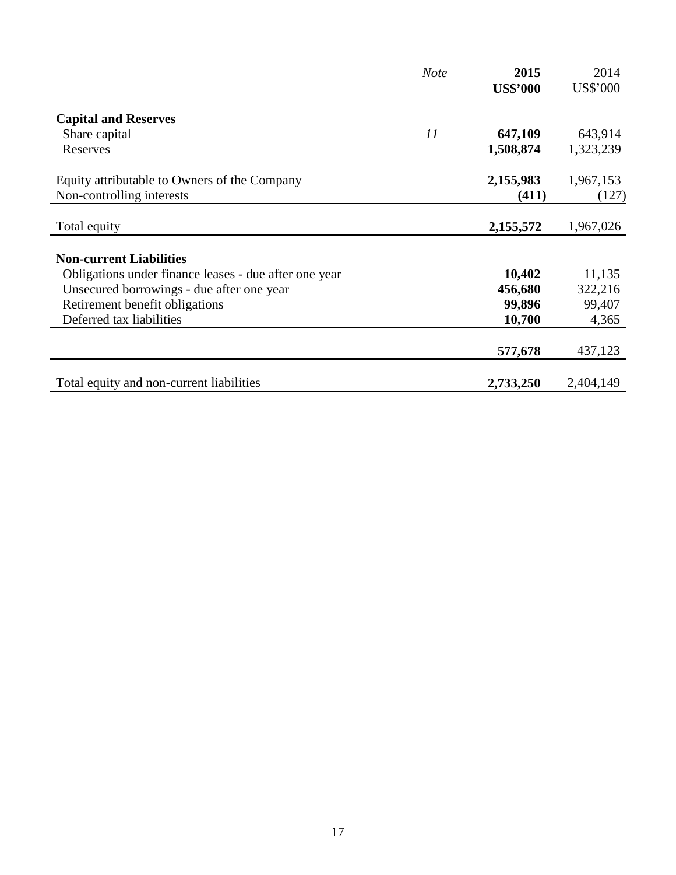|                                                       | <b>Note</b> | 2015            | 2014      |
|-------------------------------------------------------|-------------|-----------------|-----------|
|                                                       |             | <b>US\$'000</b> | US\$'000  |
| <b>Capital and Reserves</b>                           |             |                 |           |
| Share capital                                         | 11          | 647,109         | 643,914   |
| Reserves                                              |             | 1,508,874       | 1,323,239 |
| Equity attributable to Owners of the Company          |             | 2,155,983       | 1,967,153 |
| Non-controlling interests                             |             | (411)           | (127)     |
| Total equity                                          |             | 2,155,572       | 1,967,026 |
|                                                       |             |                 |           |
| <b>Non-current Liabilities</b>                        |             |                 |           |
| Obligations under finance leases - due after one year |             | 10,402          | 11,135    |
| Unsecured borrowings - due after one year             |             | 456,680         | 322,216   |
| Retirement benefit obligations                        |             | 99,896          | 99,407    |
| Deferred tax liabilities                              |             | 10,700          | 4,365     |
|                                                       |             | 577,678         | 437,123   |
| Total equity and non-current liabilities              |             | 2,733,250       | 2,404,149 |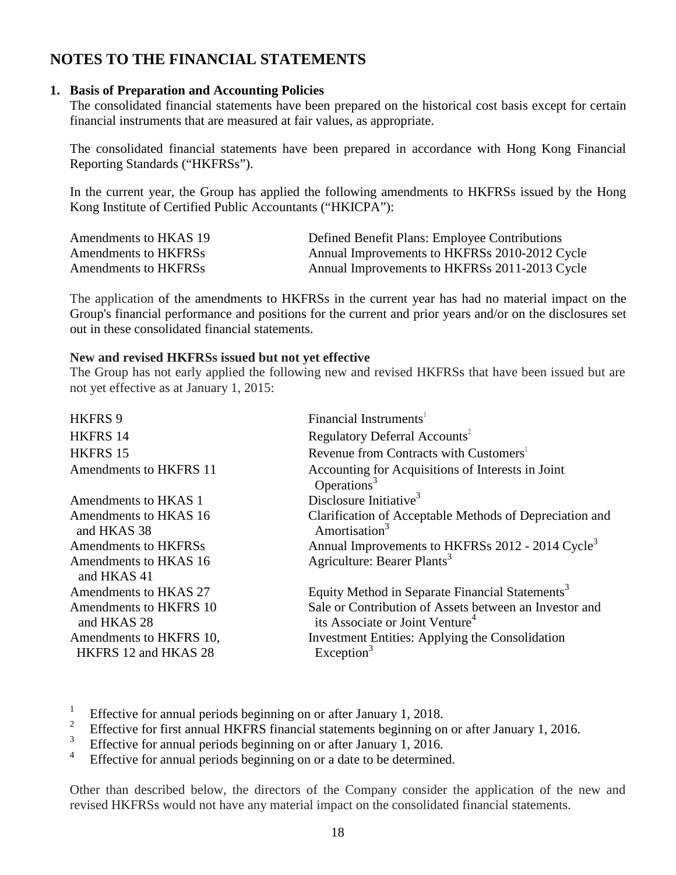## **NOTES TO THE FINANCIAL STATEMENTS**

### **1. Basis of Preparation and Accounting Policies**

The consolidated financial statements have been prepared on the historical cost basis except for certain financial instruments that are measured at fair values, as appropriate.

The consolidated financial statements have been prepared in accordance with Hong Kong Financial Reporting Standards ("HKFRSs").

In the current year, the Group has applied the following amendments to HKFRSs issued by the Hong Kong Institute of Certified Public Accountants ("HKICPA"):

| Amendments to HKAS 19 | Defined Benefit Plans: Employee Contributions |
|-----------------------|-----------------------------------------------|
| Amendments to HKFRSs  | Annual Improvements to HKFRSs 2010-2012 Cycle |
| Amendments to HKFRSs  | Annual Improvements to HKFRSs 2011-2013 Cycle |

The application of the amendments to HKFRSs in the current year has had no material impact on the Group's financial performance and positions for the current and prior years and/or on the disclosures set out in these consolidated financial statements.

#### **New and revised HKFRSs issued but not yet effective**

The Group has not early applied the following new and revised HKFRSs that have been issued but are not yet effective as at January 1, 2015:

| HKFRS 9                               | Financial Instruments <sup>1</sup>                                                                    |
|---------------------------------------|-------------------------------------------------------------------------------------------------------|
| HKFRS 14                              | Regulatory Deferral Accounts <sup>2</sup>                                                             |
| HKFRS 15                              | Revenue from Contracts with Customers <sup>1</sup>                                                    |
| Amendments to HKFRS 11                | Accounting for Acquisitions of Interests in Joint<br>Operations <sup>3</sup>                          |
| Amendments to HKAS 1                  | Disclosure Initiative <sup>3</sup>                                                                    |
| Amendments to HKAS 16<br>and HKAS 38  | Clarification of Acceptable Methods of Depreciation and<br>Amortisation $3$                           |
| Amendments to HKFRSs                  | Annual Improvements to HKFRSs 2012 - 2014 Cycle <sup>3</sup>                                          |
| Amendments to HKAS 16<br>and HKAS 41  | Agriculture: Bearer Plants <sup>3</sup>                                                               |
| Amendments to HKAS 27                 | Equity Method in Separate Financial Statements <sup>3</sup>                                           |
| Amendments to HKFRS 10<br>and HKAS 28 | Sale or Contribution of Assets between an Investor and<br>its Associate or Joint Venture <sup>4</sup> |
| Amendments to HKFRS 10,               | Investment Entities: Applying the Consolidation                                                       |
| HKFRS 12 and HKAS 28                  | Exception <sup>3</sup>                                                                                |

1 Effective for annual periods beginning on or after January 1, 2018.

- 2 Effective for first annual HKFRS financial statements beginning on or after January 1, 2016.
- 3 Effective for annual periods beginning on or after January 1, 2016.
- 4 Effective for annual periods beginning on or a date to be determined.

Other than described below, the directors of the Company consider the application of the new and revised HKFRSs would not have any material impact on the consolidated financial statements.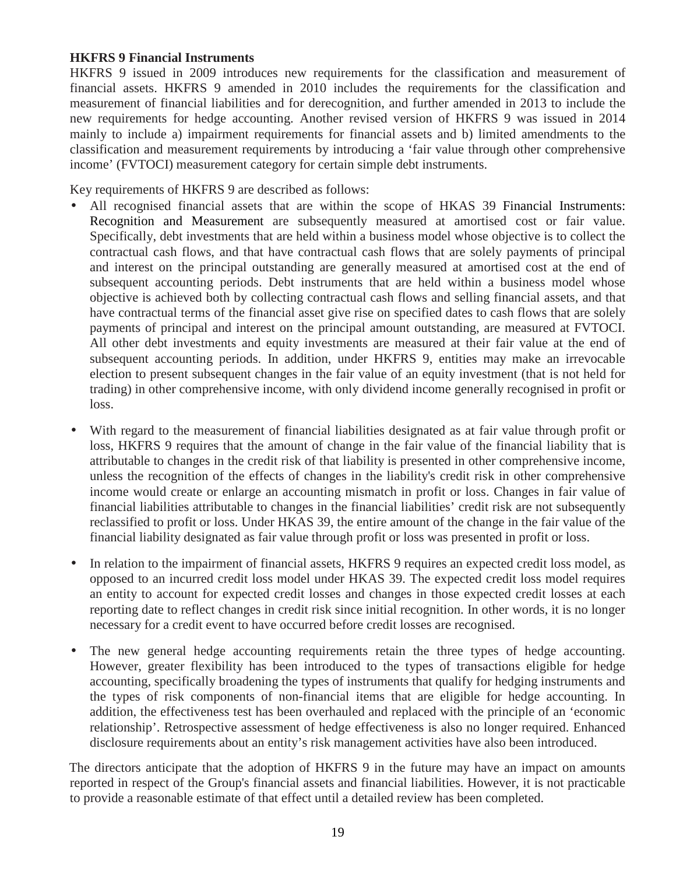### **HKFRS 9 Financial Instruments**

HKFRS 9 issued in 2009 introduces new requirements for the classification and measurement of financial assets. HKFRS 9 amended in 2010 includes the requirements for the classification and measurement of financial liabilities and for derecognition, and further amended in 2013 to include the new requirements for hedge accounting. Another revised version of HKFRS 9 was issued in 2014 mainly to include a) impairment requirements for financial assets and b) limited amendments to the classification and measurement requirements by introducing a 'fair value through other comprehensive income' (FVTOCI) measurement category for certain simple debt instruments.

Key requirements of HKFRS 9 are described as follows:

- All recognised financial assets that are within the scope of HKAS 39 Financial Instruments: Recognition and Measurement are subsequently measured at amortised cost or fair value. Specifically, debt investments that are held within a business model whose objective is to collect the contractual cash flows, and that have contractual cash flows that are solely payments of principal and interest on the principal outstanding are generally measured at amortised cost at the end of subsequent accounting periods. Debt instruments that are held within a business model whose objective is achieved both by collecting contractual cash flows and selling financial assets, and that have contractual terms of the financial asset give rise on specified dates to cash flows that are solely payments of principal and interest on the principal amount outstanding, are measured at FVTOCI. All other debt investments and equity investments are measured at their fair value at the end of subsequent accounting periods. In addition, under HKFRS 9, entities may make an irrevocable election to present subsequent changes in the fair value of an equity investment (that is not held for trading) in other comprehensive income, with only dividend income generally recognised in profit or loss.
- With regard to the measurement of financial liabilities designated as at fair value through profit or loss, HKFRS 9 requires that the amount of change in the fair value of the financial liability that is attributable to changes in the credit risk of that liability is presented in other comprehensive income, unless the recognition of the effects of changes in the liability's credit risk in other comprehensive income would create or enlarge an accounting mismatch in profit or loss. Changes in fair value of financial liabilities attributable to changes in the financial liabilities' credit risk are not subsequently reclassified to profit or loss. Under HKAS 39, the entire amount of the change in the fair value of the financial liability designated as fair value through profit or loss was presented in profit or loss.
- In relation to the impairment of financial assets, HKFRS 9 requires an expected credit loss model, as opposed to an incurred credit loss model under HKAS 39. The expected credit loss model requires an entity to account for expected credit losses and changes in those expected credit losses at each reporting date to reflect changes in credit risk since initial recognition. In other words, it is no longer necessary for a credit event to have occurred before credit losses are recognised.
- The new general hedge accounting requirements retain the three types of hedge accounting. However, greater flexibility has been introduced to the types of transactions eligible for hedge accounting, specifically broadening the types of instruments that qualify for hedging instruments and the types of risk components of non-financial items that are eligible for hedge accounting. In addition, the effectiveness test has been overhauled and replaced with the principle of an 'economic relationship'. Retrospective assessment of hedge effectiveness is also no longer required. Enhanced disclosure requirements about an entity's risk management activities have also been introduced.

The directors anticipate that the adoption of HKFRS 9 in the future may have an impact on amounts reported in respect of the Group's financial assets and financial liabilities. However, it is not practicable to provide a reasonable estimate of that effect until a detailed review has been completed.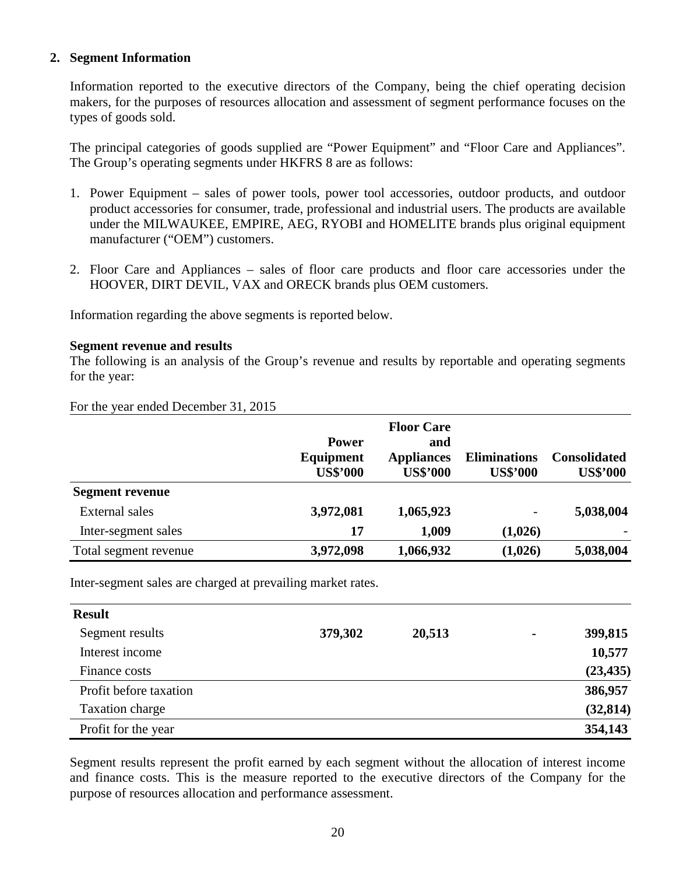### **2. Segment Information**

Information reported to the executive directors of the Company, being the chief operating decision makers, for the purposes of resources allocation and assessment of segment performance focuses on the types of goods sold.

The principal categories of goods supplied are "Power Equipment" and "Floor Care and Appliances". The Group's operating segments under HKFRS 8 are as follows:

- 1. Power Equipment sales of power tools, power tool accessories, outdoor products, and outdoor product accessories for consumer, trade, professional and industrial users. The products are available under the MILWAUKEE, EMPIRE, AEG, RYOBI and HOMELITE brands plus original equipment manufacturer ("OEM") customers.
- 2. Floor Care and Appliances sales of floor care products and floor care accessories under the HOOVER, DIRT DEVIL, VAX and ORECK brands plus OEM customers.

Information regarding the above segments is reported below.

#### **Segment revenue and results**

The following is an analysis of the Group's revenue and results by reportable and operating segments for the year:

For the year ended December 31, 2015

|                        |                 | <b>Floor Care</b> |                     |                     |
|------------------------|-----------------|-------------------|---------------------|---------------------|
|                        | <b>Power</b>    | and               |                     |                     |
|                        | Equipment       | <b>Appliances</b> | <b>Eliminations</b> | <b>Consolidated</b> |
|                        | <b>US\$'000</b> | <b>US\$'000</b>   | <b>US\$'000</b>     | <b>US\$'000</b>     |
| <b>Segment revenue</b> |                 |                   |                     |                     |
| <b>External sales</b>  | 3,972,081       | 1,065,923         | -                   | 5,038,004           |
| Inter-segment sales    | 17              | 1,009             | (1,026)             |                     |
| Total segment revenue  | 3,972,098       | 1,066,932         | (1,026)             | 5,038,004           |

Inter-segment sales are charged at prevailing market rates.

| <b>Result</b>          |         |        |                |           |
|------------------------|---------|--------|----------------|-----------|
| Segment results        | 379,302 | 20,513 | $\blacksquare$ | 399,815   |
| Interest income        |         |        |                | 10,577    |
| Finance costs          |         |        |                | (23, 435) |
| Profit before taxation |         |        |                | 386,957   |
| Taxation charge        |         |        |                | (32, 814) |
| Profit for the year    |         |        |                | 354,143   |

Segment results represent the profit earned by each segment without the allocation of interest income and finance costs. This is the measure reported to the executive directors of the Company for the purpose of resources allocation and performance assessment.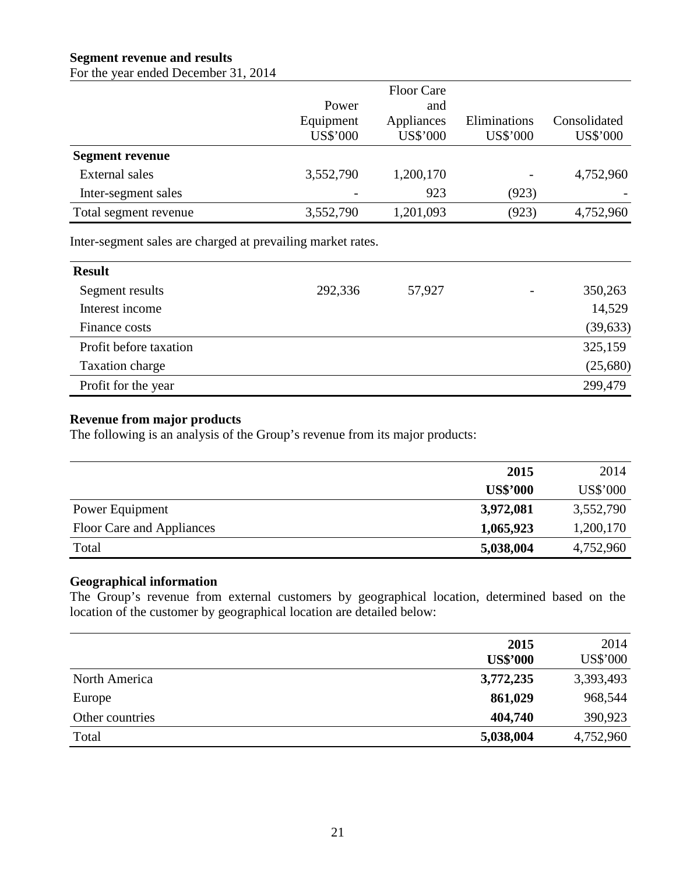## **Segment revenue and results**

For the year ended December 31, 2014

|                        |                 | <b>Floor Care</b> |              |              |
|------------------------|-----------------|-------------------|--------------|--------------|
|                        | Power           | and               |              |              |
|                        | Equipment       | Appliances        | Eliminations | Consolidated |
|                        | <b>US\$'000</b> | <b>US\$'000</b>   | US\$'000     | US\$'000     |
| <b>Segment revenue</b> |                 |                   |              |              |
| <b>External sales</b>  | 3,552,790       | 1,200,170         |              | 4,752,960    |
| Inter-segment sales    |                 | 923               | (923)        |              |
| Total segment revenue  | 3,552,790       | 1,201,093         | (923)        | 4,752,960    |

Inter-segment sales are charged at prevailing market rates.

| <b>Result</b>          |         |        |                          |           |
|------------------------|---------|--------|--------------------------|-----------|
| Segment results        | 292,336 | 57,927 | $\overline{\phantom{a}}$ | 350,263   |
| Interest income        |         |        |                          | 14,529    |
| Finance costs          |         |        |                          | (39, 633) |
| Profit before taxation |         |        |                          | 325,159   |
| Taxation charge        |         |        |                          | (25,680)  |
| Profit for the year    |         |        |                          | 299,479   |

### **Revenue from major products**

The following is an analysis of the Group's revenue from its major products:

|                           | 2015            | 2014      |
|---------------------------|-----------------|-----------|
|                           | <b>US\$'000</b> | US\$'000  |
| Power Equipment           | 3,972,081       | 3,552,790 |
| Floor Care and Appliances | 1,065,923       | 1,200,170 |
| Total                     | 5,038,004       | 4,752,960 |

### **Geographical information**

The Group's revenue from external customers by geographical location, determined based on the location of the customer by geographical location are detailed below:

|                 | 2015<br><b>US\$'000</b> | 2014<br><b>US\$'000</b> |
|-----------------|-------------------------|-------------------------|
| North America   | 3,772,235               | 3,393,493               |
| Europe          | 861,029                 | 968,544                 |
| Other countries | 404,740                 | 390,923                 |
| Total           | 5,038,004               | 4,752,960               |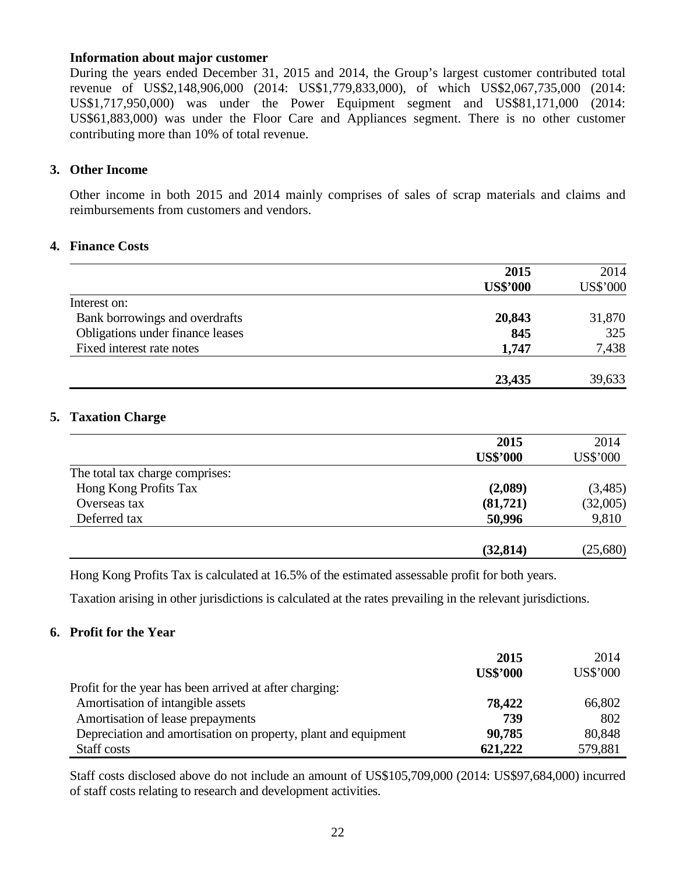#### **Information about major customer**

During the years ended December 31, 2015 and 2014, the Group's largest customer contributed total revenue of US\$2,148,906,000 (2014: US\$1,779,833,000), of which US\$2,067,735,000 (2014: US\$1,717,950,000) was under the Power Equipment segment and US\$81,171,000 (2014: US\$61,883,000) was under the Floor Care and Appliances segment. There is no other customer contributing more than 10% of total revenue.

#### **3. Other Income**

Other income in both 2015 and 2014 mainly comprises of sales of scrap materials and claims and reimbursements from customers and vendors.

#### **4. Finance Costs**

|                                  | 2015            | 2014     |
|----------------------------------|-----------------|----------|
|                                  | <b>US\$'000</b> | US\$'000 |
| Interest on:                     |                 |          |
| Bank borrowings and overdrafts   | 20,843          | 31,870   |
| Obligations under finance leases | 845             | 325      |
| Fixed interest rate notes        | 1,747           | 7,438    |
|                                  | 23,435          | 39,633   |

#### **5. Taxation Charge**

|                                 | 2015            | 2014            |
|---------------------------------|-----------------|-----------------|
|                                 | <b>US\$'000</b> | <b>US\$'000</b> |
| The total tax charge comprises: |                 |                 |
| Hong Kong Profits Tax           | (2,089)         | (3,485)         |
| Overseas tax                    | (81,721)        | (32,005)        |
| Deferred tax                    | 50,996          | 9,810           |
|                                 | (32, 814)       | (25,680)        |

Hong Kong Profits Tax is calculated at 16.5% of the estimated assessable profit for both years.

Taxation arising in other jurisdictions is calculated at the rates prevailing in the relevant jurisdictions.

### **6. Profit for the Year**

|                                                                | 2015            | 2014     |
|----------------------------------------------------------------|-----------------|----------|
|                                                                | <b>US\$'000</b> | US\$'000 |
| Profit for the year has been arrived at after charging:        |                 |          |
| Amortisation of intangible assets                              | 78,422          | 66,802   |
| Amortisation of lease prepayments                              | 739             | 802      |
| Depreciation and amortisation on property, plant and equipment | 90,785          | 80,848   |
| Staff costs                                                    | 621,222         | 579,881  |

Staff costs disclosed above do not include an amount of US\$105,709,000 (2014: US\$97,684,000) incurred of staff costs relating to research and development activities.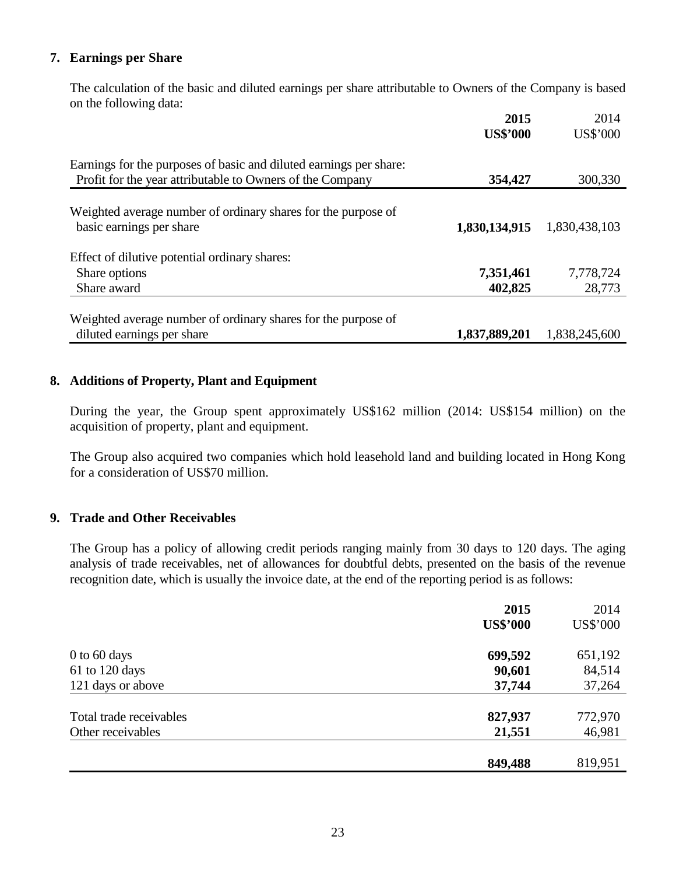## **7. Earnings per Share**

 The calculation of the basic and diluted earnings per share attributable to Owners of the Company is based on the following data:

|                                                                                                                                 | 2015<br><b>US\$'000</b> | 2014<br>US\$'000 |
|---------------------------------------------------------------------------------------------------------------------------------|-------------------------|------------------|
| Earnings for the purposes of basic and diluted earnings per share:<br>Profit for the year attributable to Owners of the Company | 354,427                 | 300,330          |
|                                                                                                                                 |                         |                  |
| Weighted average number of ordinary shares for the purpose of<br>basic earnings per share                                       | 1,830,134,915           | 1,830,438,103    |
| Effect of dilutive potential ordinary shares:                                                                                   |                         |                  |
| Share options                                                                                                                   | 7,351,461               | 7,778,724        |
| Share award                                                                                                                     | 402,825                 | 28,773           |
| Weighted average number of ordinary shares for the purpose of                                                                   |                         |                  |
| diluted earnings per share                                                                                                      | 1,837,889,201           | 1,838,245,600    |

### **8. Additions of Property, Plant and Equipment**

 During the year, the Group spent approximately US\$162 million (2014: US\$154 million) on the acquisition of property, plant and equipment.

 The Group also acquired two companies which hold leasehold land and building located in Hong Kong for a consideration of US\$70 million.

## **9. Trade and Other Receivables**

The Group has a policy of allowing credit periods ranging mainly from 30 days to 120 days. The aging analysis of trade receivables, net of allowances for doubtful debts, presented on the basis of the revenue recognition date, which is usually the invoice date, at the end of the reporting period is as follows:

|                         | 2015            | 2014     |
|-------------------------|-----------------|----------|
|                         | <b>US\$'000</b> | US\$'000 |
| $0$ to 60 days          | 699,592         | 651,192  |
| 61 to 120 days          | 90,601          | 84,514   |
| 121 days or above       | 37,744          | 37,264   |
| Total trade receivables | 827,937         | 772,970  |
| Other receivables       | 21,551          | 46,981   |
|                         |                 |          |
|                         | 849,488         | 819,951  |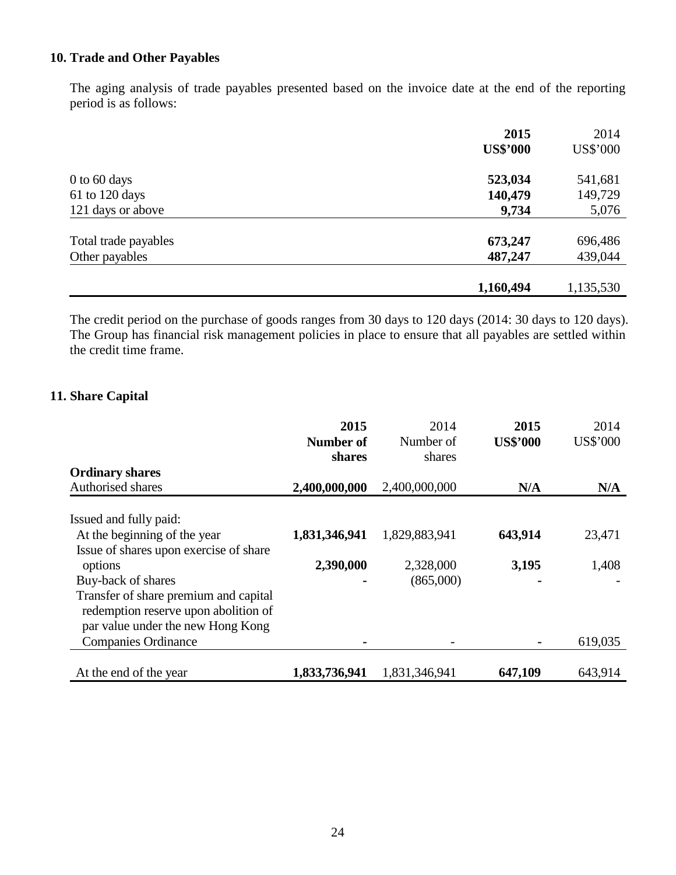## **10. Trade and Other Payables**

The aging analysis of trade payables presented based on the invoice date at the end of the reporting period is as follows:

|                      | 2015            | 2014      |
|----------------------|-----------------|-----------|
|                      | <b>US\$'000</b> | US\$'000  |
| $0$ to 60 days       | 523,034         | 541,681   |
| 61 to 120 days       | 140,479         | 149,729   |
| 121 days or above    | 9,734           | 5,076     |
| Total trade payables | 673,247         | 696,486   |
| Other payables       | 487,247         | 439,044   |
|                      |                 |           |
|                      | 1,160,494       | 1,135,530 |

The credit period on the purchase of goods ranges from 30 days to 120 days (2014: 30 days to 120 days). The Group has financial risk management policies in place to ensure that all payables are settled within the credit time frame.

## **11. Share Capital**

|                                        | 2015          | 2014          | 2015            | 2014     |
|----------------------------------------|---------------|---------------|-----------------|----------|
|                                        | Number of     | Number of     | <b>US\$'000</b> | US\$'000 |
|                                        | shares        | shares        |                 |          |
| <b>Ordinary shares</b>                 |               |               |                 |          |
| Authorised shares                      | 2,400,000,000 | 2,400,000,000 | N/A             | N/A      |
| Issued and fully paid:                 |               |               |                 |          |
| At the beginning of the year           | 1,831,346,941 | 1,829,883,941 | 643,914         | 23,471   |
| Issue of shares upon exercise of share |               |               |                 |          |
| options                                | 2,390,000     | 2,328,000     | 3,195           | 1,408    |
| Buy-back of shares                     |               | (865,000)     |                 |          |
| Transfer of share premium and capital  |               |               |                 |          |
| redemption reserve upon abolition of   |               |               |                 |          |
| par value under the new Hong Kong      |               |               |                 |          |
| <b>Companies Ordinance</b>             |               |               |                 | 619,035  |
|                                        |               |               |                 |          |
| At the end of the year                 | 1,833,736,941 | 1,831,346,941 | 647,109         | 643,914  |